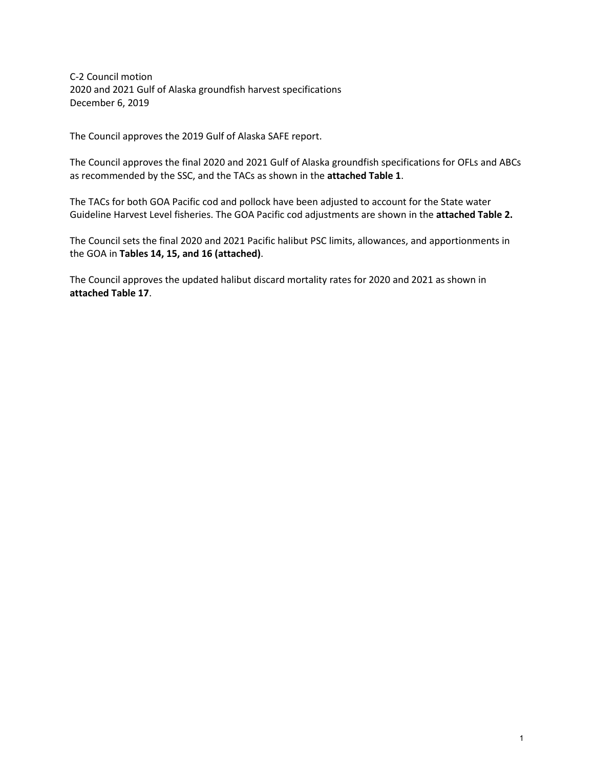C-2 Council motion 2020 and 2021 Gulf of Alaska groundfish harvest specifications December 6, 2019

The Council approves the 2019 Gulf of Alaska SAFE report.

The Council approves the final 2020 and 2021 Gulf of Alaska groundfish specifications for OFLs and ABCs as recommended by the SSC, and the TACs as shown in the **attached Table 1**.

The TACs for both GOA Pacific cod and pollock have been adjusted to account for the State water Guideline Harvest Level fisheries. The GOA Pacific cod adjustments are shown in the **attached Table 2.**

The Council sets the final 2020 and 2021 Pacific halibut PSC limits, allowances, and apportionments in the GOA in **Tables 14, 15, and 16 (attached)**.

The Council approves the updated halibut discard mortality rates for 2020 and 2021 as shown in **attached Table 17**.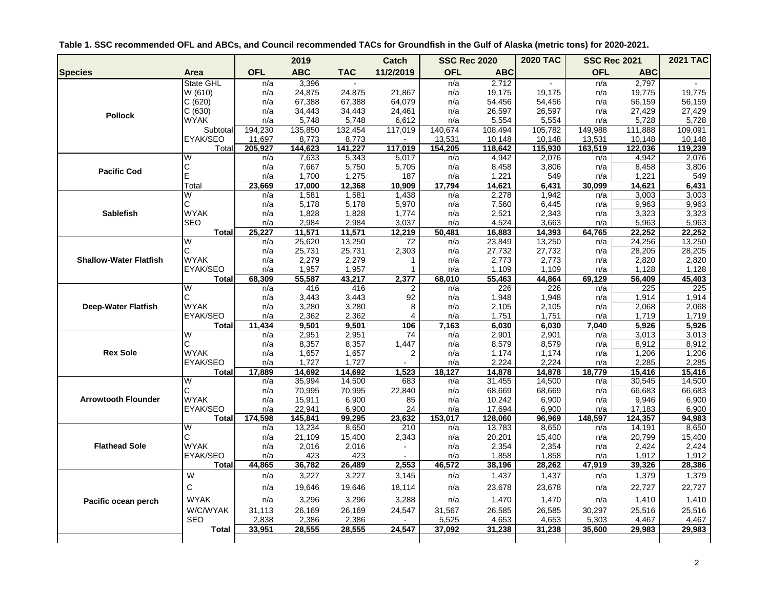|  | Table 1. SSC recommended OFL and ABCs, and Council recommended TACs for Groundfish in the Gulf of Alaska (metric tons) for 2020-2021. |
|--|---------------------------------------------------------------------------------------------------------------------------------------|
|--|---------------------------------------------------------------------------------------------------------------------------------------|

|                               |                         |            | 2019           |                | <b>Catch</b>   |            | <b>SSC Rec 2020</b> | <b>2020 TAC</b> | <b>SSC Rec 2021</b> |                | <b>2021 TAC</b> |
|-------------------------------|-------------------------|------------|----------------|----------------|----------------|------------|---------------------|-----------------|---------------------|----------------|-----------------|
| <b>Species</b>                | Area                    | <b>OFL</b> | <b>ABC</b>     | <b>TAC</b>     | 11/2/2019      | <b>OFL</b> | <b>ABC</b>          |                 | <b>OFL</b>          | <b>ABC</b>     |                 |
|                               | State GHL               | n/a        | 3,396          | $\mathbf{r}$   |                | n/a        | 2,712               | $\sim$          | n/a                 | 2,797          |                 |
|                               | W (610)                 | n/a        | 24,875         | 24,875         | 21,867         | n/a        | 19,175              | 19,175          | n/a                 | 19,775         | 19,775          |
|                               | C(620)                  | n/a        | 67,388         | 67,388         | 64,079         | n/a        | 54,456              | 54,456          | n/a                 | 56,159         | 56,159          |
| <b>Pollock</b>                | C(630)                  | n/a        | 34,443         | 34,443         | 24,461         | n/a        | 26,597              | 26,597          | n/a                 | 27,429         | 27,429          |
|                               | <b>WYAK</b>             | n/a        | 5,748          | 5,748          | 6,612          | n/a        | 5,554               | 5,554           | n/a                 | 5,728          | 5,728           |
|                               | Subtotal                | 194,230    | 135,850        | 132,454        | 117,019        | 140,674    | 108,494             | 105,782         | 149,988             | 111,888        | 109,091         |
|                               | EYAK/SEO                | 11,697     | 8,773          | 8,773          |                | 13,531     | 10,148              | 10,148          | 13,531              | 10,148         | 10,148          |
|                               | Total                   | 205.927    | 144,623        | 141.227        | 117,019        | 154,205    | 118,642             | 115,930         | 163,519             | 122.036        | 119,239         |
|                               | W                       | n/a        | 7,633          | 5,343          | 5,017          | n/a        | 4,942               | 2,076           | n/a                 | 4,942          | 2,076           |
| <b>Pacific Cod</b>            | С                       | n/a        | 7,667          | 5,750          | 5,705          | n/a        | 8,458               | 3,806           | n/a                 | 8,458          | 3,806           |
|                               | E                       | n/a        | 1,700          | 1,275          | 187            | n/a        | 1,221               | 549             | n/a                 | 1,221          | 549             |
|                               | Total                   | 23,669     | 17,000         | 12,368         | 10,909         | 17,794     | 14,621              | 6,431           | 30,099              | 14,621         | 6,431           |
|                               | W                       | n/a        | 1,581          | 1,581          | 1,438          | n/a        | 2,278               | 1,942           | n/a                 | 3,003          | 3,003           |
| <b>Sablefish</b>              | С<br><b>WYAK</b>        | n/a        | 5,178          | 5,178          | 5,970          | n/a        | 7,560               | 6,445           | n/a                 | 9,963          | 9,963           |
|                               | <b>SEO</b>              | n/a<br>n/a | 1,828<br>2,984 | 1,828<br>2,984 | 1,774<br>3,037 | n/a<br>n/a | 2,521<br>4,524      | 2,343<br>3,663  | n/a                 | 3,323<br>5,963 | 3,323<br>5,963  |
|                               | <b>Total</b>            | 25,227     | 11,571         | 11,571         | 12,219         | 50,481     | 16,883              | 14,393          | n/a<br>64,765       | 22,252         | 22,252          |
|                               | W                       | n/a        | 25,620         | 13,250         | 72             | n/a        | 23,849              | 13,250          | n/a                 | 24,256         | 13,250          |
|                               | C                       | n/a        | 25,731         | 25,731         | 2,303          | n/a        | 27,732              | 27,732          | n/a                 | 28,205         | 28,205          |
| <b>Shallow-Water Flatfish</b> | <b>WYAK</b>             | n/a        | 2,279          | 2,279          | $\mathbf{1}$   | n/a        | 2,773               | 2,773           | n/a                 | 2,820          | 2,820           |
|                               | EYAK/SEO                | n/a        | 1,957          | 1,957          | 1              | n/a        | 1,109               | 1,109           | n/a                 | 1,128          | 1,128           |
|                               | <b>Total</b>            | 68,309     | 55,587         | 43,217         | 2,377          | 68,010     | 55,463              | 44,864          | 69,129              | 56,409         | 45,403          |
|                               | $\overline{\mathsf{W}}$ | n/a        | 416            | 416            | 2              | n/a        | 226                 | 226             | n/a                 | 225            | 225             |
|                               | Ć                       | n/a        | 3,443          | 3,443          | 92             | n/a        | 1,948               | 1,948           | n/a                 | 1,914          | 1,914           |
| <b>Deep-Water Flatfish</b>    | <b>WYAK</b>             | n/a        | 3,280          | 3,280          | 8              | n/a        | 2,105               | 2,105           | n/a                 | 2,068          | 2,068           |
|                               | EYAK/SEO                | n/a        | 2,362          | 2,362          | 4              | n/a        | 1,751               | 1,751           | n/a                 | 1,719          | 1,719           |
|                               | <b>Total</b>            | 11,434     | 9,501          | 9,501          | 106            | 7,163      | 6,030               | 6,030           | 7,040               | 5,926          | 5,926           |
|                               | W                       | n/a        | 2,951          | 2,951          | 74             | n/a        | 2,901               | 2,901           | n/a                 | 3,013          | 3,013           |
|                               | C                       | n/a        | 8,357          | 8,357          | 1,447          | n/a        | 8,579               | 8,579           | n/a                 | 8,912          | 8,912           |
| <b>Rex Sole</b>               | <b>WYAK</b>             | n/a        | 1,657          | 1,657          | 2              | n/a        | 1,174               | 1,174           | n/a                 | 1,206          | 1,206           |
|                               | EYAK/SEO                | n/a        | 1,727          | 1,727          |                | n/a        | 2,224               | 2,224           | n/a                 | 2,285          | 2,285           |
|                               | <b>Total</b>            | 17,889     | 14,692         | 14,692         | 1,523          | 18,127     | 14,878              | 14,878          | 18,779              | 15,416         | 15,416          |
|                               | W                       | n/a        | 35,994         | 14,500         | 683            | n/a        | 31,455              | 14,500          | n/a                 | 30,545         | 14,500          |
|                               | Ć                       | n/a        | 70,995         | 70,995         | 22,840         | n/a        | 68,669              | 68,669          | n/a                 | 66,683         | 66,683          |
| <b>Arrowtooth Flounder</b>    | <b>WYAK</b>             | n/a        | 15,911         | 6,900          | 85             | n/a        | 10,242              | 6,900           | n/a                 | 9,946          | 6,900           |
|                               | EYAK/SEO                | n/a        | 22,941         | 6,900          | 24             | n/a        | 17,694              | 6,900           | n/a                 | 17,183         | 6,900           |
|                               | <b>Total</b>            | 174,598    | 145,841        | 99,295         | 23,632         | 153,017    | 128,060             | 96,969          | 148,597             | 124,357        | 94,983          |
|                               | $\overline{\mathsf{W}}$ | n/a        | 13,234         | 8,650          | 210            | n/a        | 13,783              | 8,650           | n/a                 | 14,191         | 8,650           |
|                               | C                       | n/a        | 21,109         | 15,400         | 2,343          | n/a        | 20,201              | 15,400          | n/a                 | 20,799         | 15,400          |
| <b>Flathead Sole</b>          | <b>WYAK</b>             | n/a        | 2,016          | 2,016          |                | n/a        | 2,354               | 2,354           | n/a                 | 2,424          | 2,424           |
|                               | EYAK/SEO                | n/a        | 423            | 423            |                | n/a        | 1,858               | 1,858           | n/a                 | 1,912          | 1,912           |
|                               | <b>Total</b>            | 44,865     | 36,782         | 26,489         | 2,553          | 46,572     | 38,196              | 28,262          | 47,919              | 39,326         | 28,386          |
|                               | W                       | n/a        | 3,227          | 3,227          | 3,145          | n/a        | 1,437               | 1,437           | n/a                 | 1,379          | 1,379           |
|                               | C                       | n/a        | 19,646         | 19,646         | 18,114         | n/a        | 23,678              | 23,678          | n/a                 | 22,727         | 22,727          |
| Pacific ocean perch           | <b>WYAK</b>             | n/a        | 3,296          | 3,296          | 3,288          | n/a        | 1,470               | 1,470           | n/a                 | 1,410          | 1,410           |
|                               | W/C/WYAK                | 31,113     | 26,169         | 26,169         | 24,547         | 31,567     | 26,585              | 26,585          | 30,297              | 25,516         | 25,516          |
|                               | <b>SEO</b>              | 2,838      | 2,386          | 2,386          |                | 5,525      | 4,653               | 4,653           | 5,303               | 4,467          | 4,467           |
|                               | <b>Total</b>            | 33,951     | 28,555         | 28,555         | 24,547         | 37,092     | 31,238              | 31,238          | 35,600              | 29,983         | 29,983          |
|                               |                         |            |                |                |                |            |                     |                 |                     |                |                 |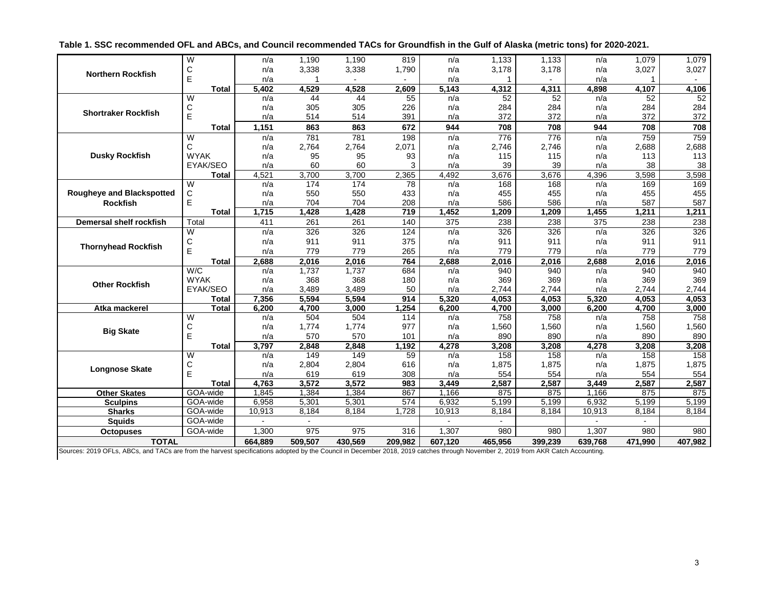| Table 1. SSC recommended OFL and ABCs, and Council recommended TACs for Groundfish in the Gulf of Alaska (metric tons) for 2020-2021. |  |
|---------------------------------------------------------------------------------------------------------------------------------------|--|
|---------------------------------------------------------------------------------------------------------------------------------------|--|

|                                  | W                       | n/a     | 1.190   | 1.190   | 819     | n/a     | 1,133          | 1,133   | n/a     | 1,079   | 1,079   |
|----------------------------------|-------------------------|---------|---------|---------|---------|---------|----------------|---------|---------|---------|---------|
|                                  | C                       | n/a     | 3,338   | 3,338   | 1,790   | n/a     | 3,178          | 3,178   | n/a     | 3,027   | 3,027   |
| <b>Northern Rockfish</b>         | E                       | n/a     |         |         |         | n/a     |                |         | n/a     |         |         |
|                                  | <b>Total</b>            | 5,402   | 4,529   | 4,528   | 2,609   | 5,143   | 4,312          | 4,311   | 4,898   | 4,107   | 4,106   |
|                                  | W                       | n/a     | 44      | 44      | 55      | n/a     | 52             | 52      | n/a     | 52      | 52      |
|                                  | C                       | n/a     | 305     | 305     | 226     | n/a     | 284            | 284     | n/a     | 284     | 284     |
| <b>Shortraker Rockfish</b>       | E                       | n/a     | 514     | 514     | 391     | n/a     | 372            | 372     | n/a     | 372     | 372     |
|                                  | Total                   | 1,151   | 863     | 863     | 672     | 944     | 708            | 708     | 944     | 708     | 708     |
|                                  | W                       | n/a     | 781     | 781     | 198     | n/a     | 776            | 776     | n/a     | 759     | 759     |
|                                  | C                       | n/a     | 2,764   | 2,764   | 2,071   | n/a     | 2,746          | 2,746   | n/a     | 2,688   | 2,688   |
| <b>Dusky Rockfish</b>            | <b>WYAK</b>             | n/a     | 95      | 95      | 93      | n/a     | 115            | 115     | n/a     | 113     | 113     |
|                                  | EYAK/SEO                | n/a     | 60      | 60      | 3       | n/a     | 39             | 39      | n/a     | 38      | 38      |
|                                  | <b>Total</b>            | 4,521   | 3,700   | 3,700   | 2,365   | 4,492   | 3,676          | 3,676   | 4,396   | 3,598   | 3,598   |
|                                  | W                       | n/a     | 174     | 174     | 78      | n/a     | 168            | 168     | n/a     | 169     | 169     |
| <b>Rougheye and Blackspotted</b> | C                       | n/a     | 550     | 550     | 433     | n/a     | 455            | 455     | n/a     | 455     | 455     |
| <b>Rockfish</b>                  | E                       | n/a     | 704     | 704     | 208     | n/a     | 586            | 586     | n/a     | 587     | 587     |
|                                  | <b>Total</b>            | 1,715   | 1,428   | 1,428   | 719     | 1,452   | 1,209          | 1,209   | 1,455   | 1,211   | 1,211   |
| <b>Demersal shelf rockfish</b>   | Total                   | 411     | 261     | 261     | 140     | 375     | 238            | 238     | 375     | 238     | 238     |
|                                  | $\overline{\mathsf{W}}$ | n/a     | 326     | 326     | 124     | n/a     | 326            | 326     | n/a     | 326     | 326     |
|                                  | C                       | n/a     | 911     | 911     | 375     | n/a     | 911            | 911     | n/a     | 911     | 911     |
| <b>Thornyhead Rockfish</b>       | E                       | n/a     | 779     | 779     | 265     | n/a     | 779            | 779     | n/a     | 779     | 779     |
|                                  | <b>Total</b>            | 2,688   | 2,016   | 2,016   | 764     | 2,688   | 2,016          | 2,016   | 2,688   | 2,016   | 2,016   |
|                                  | W/C                     | n/a     | 1,737   | 1,737   | 684     | n/a     | 940            | 940     | n/a     | 940     | 940     |
| <b>Other Rockfish</b>            | <b>WYAK</b>             | n/a     | 368     | 368     | 180     | n/a     | 369            | 369     | n/a     | 369     | 369     |
|                                  | EYAK/SEO                | n/a     | 3,489   | 3,489   | 50      | n/a     | 2,744          | 2,744   | n/a     | 2,744   | 2,744   |
|                                  | <b>Total</b>            | 7,356   | 5,594   | 5,594   | 914     | 5,320   | 4,053          | 4,053   | 5,320   | 4,053   | 4,053   |
| Atka mackerel                    | <b>Total</b>            | 6,200   | 4,700   | 3,000   | 1,254   | 6,200   | 4,700          | 3,000   | 6,200   | 4,700   | 3,000   |
|                                  | W                       | n/a     | 504     | 504     | 114     | n/a     | 758            | 758     | n/a     | 758     | 758     |
| <b>Big Skate</b>                 | C                       | n/a     | 1,774   | 1,774   | 977     | n/a     | 1,560          | 1,560   | n/a     | 1,560   | 1,560   |
|                                  | E                       | n/a     | 570     | 570     | 101     | n/a     | 890            | 890     | n/a     | 890     | 890     |
|                                  | <b>Total</b>            | 3,797   | 2,848   | 2,848   | 1,192   | 4,278   | 3,208          | 3,208   | 4,278   | 3,208   | 3,208   |
|                                  | W                       | n/a     | 149     | 149     | 59      | n/a     | 158            | 158     | n/a     | 158     | 158     |
| <b>Longnose Skate</b>            | С                       | n/a     | 2,804   | 2,804   | 616     | n/a     | 1,875          | 1,875   | n/a     | 1,875   | 1,875   |
|                                  | E                       | n/a     | 619     | 619     | 308     | n/a     | 554            | 554     | n/a     | 554     | 554     |
|                                  | <b>Total</b>            | 4,763   | 3,572   | 3,572   | 983     | 3,449   | 2,587          | 2,587   | 3,449   | 2,587   | 2,587   |
| <b>Other Skates</b>              | GOA-wide                | 1.845   | 1,384   | 1,384   | 867     | 1,166   | 875            | 875     | 1,166   | 875     | 875     |
| <b>Sculpins</b>                  | GOA-wide                | 6,958   | 5,301   | 5,301   | 574     | 6,932   | 5.199          | 5,199   | 6,932   | 5,199   | 5,199   |
| <b>Sharks</b>                    | GOA-wide                | 10,913  | 8,184   | 8,184   | 1,728   | 10,913  | 8,184          | 8,184   | 10,913  | 8,184   | 8,184   |
| <b>Squids</b>                    | GOA-wide                |         | $\sim$  |         |         |         | $\blacksquare$ |         |         |         |         |
| <b>Octopuses</b>                 | GOA-wide                | 1,300   | 975     | 975     | 316     | 1.307   | 980            | 980     | 1,307   | 980     | 980     |
| <b>TOTAL</b>                     |                         | 664,889 | 509,507 | 430,569 | 209,982 | 607.120 | 465,956        | 399,239 | 639,768 | 471,990 | 407,982 |

Sources: 2019 OFLs, ABCs, and TACs are from the harvest specifications adopted by the Council in December 2018, 2019 catches through November 2, 2019 from AKR Catch Accounting.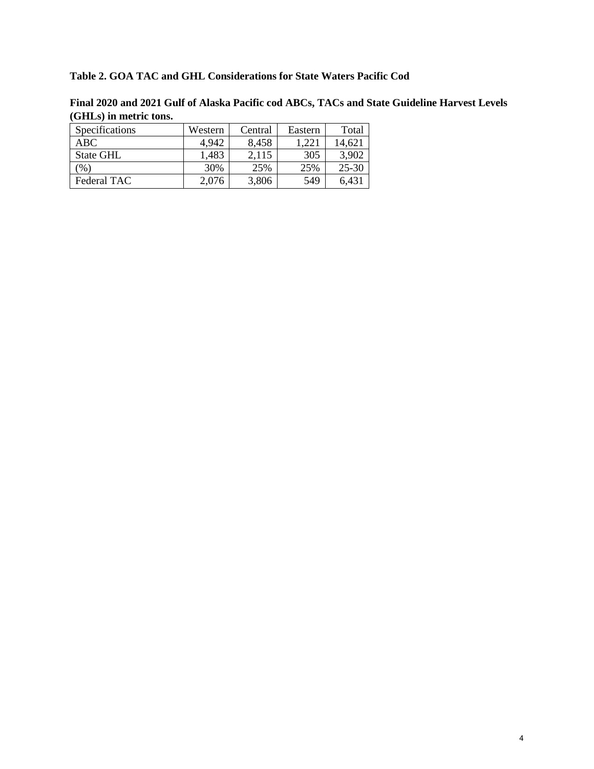## **Table 2. GOA TAC and GHL Considerations for State Waters Pacific Cod**

| (Omno) in meetic toms. |         |         |         |           |  |  |  |  |
|------------------------|---------|---------|---------|-----------|--|--|--|--|
| Specifications         | Western | Central | Eastern | Total     |  |  |  |  |
| ABC.                   | 4,942   | 8,458   | 1,221   | 14.621    |  |  |  |  |
| State GHL              | 1,483   | 2,115   | 305     | 3,902     |  |  |  |  |
| $\frac{9}{0}$          | 30%     | 25%     | 25%     | $25 - 30$ |  |  |  |  |
| Federal TAC            | 2,076   | 3,806   | 549     | 6,431     |  |  |  |  |

**Final 2020 and 2021 Gulf of Alaska Pacific cod ABCs, TACs and State Guideline Harvest Levels (GHLs) in metric tons.**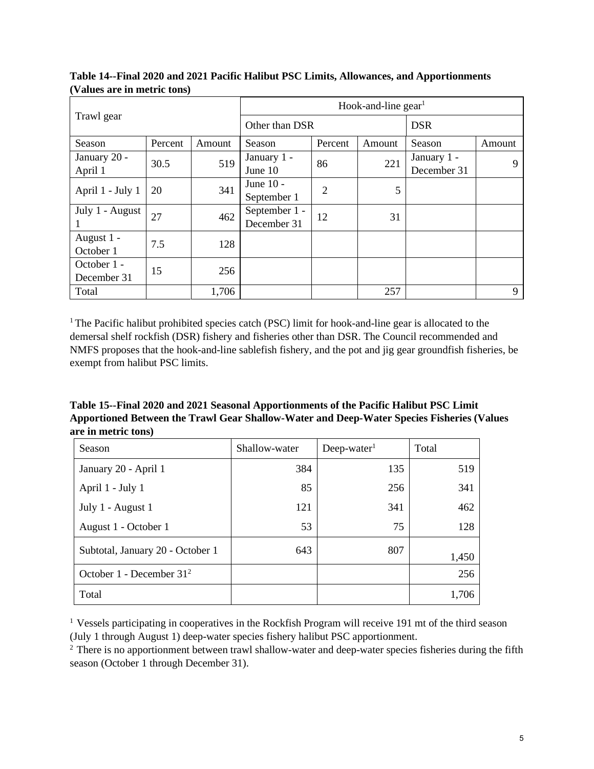|                            |         | Hook-and-line $gen1$ |                              |         |            |                            |        |  |  |
|----------------------------|---------|----------------------|------------------------------|---------|------------|----------------------------|--------|--|--|
| Trawl gear                 |         |                      | Other than DSR               |         | <b>DSR</b> |                            |        |  |  |
| Season                     | Percent | Amount               | Season                       | Percent | Amount     | Season                     | Amount |  |  |
| January 20 -<br>April 1    | 30.5    | 519                  | January 1 -<br>June 10       | 86      | 221        | January 1 -<br>December 31 | 9      |  |  |
| April 1 - July 1           | 20      | 341                  | June 10 -<br>September 1     | 2       | 5          |                            |        |  |  |
| July 1 - August            | 27      | 462                  | September 1 -<br>December 31 | 12      | 31         |                            |        |  |  |
| August 1 -<br>October 1    | 7.5     | 128                  |                              |         |            |                            |        |  |  |
| October 1 -<br>December 31 | 15      | 256                  |                              |         |            |                            |        |  |  |
| Total                      |         | 1,706                |                              |         | 257        |                            | 9      |  |  |

**Table 14--Final 2020 and 2021 Pacific Halibut PSC Limits, Allowances, and Apportionments (Values are in metric tons)**

<sup>1</sup> The Pacific halibut prohibited species catch (PSC) limit for hook-and-line gear is allocated to the demersal shelf rockfish (DSR) fishery and fisheries other than DSR. The Council recommended and NMFS proposes that the hook-and-line sablefish fishery, and the pot and jig gear groundfish fisheries, be exempt from halibut PSC limits.

**Table 15--Final 2020 and 2021 Seasonal Apportionments of the Pacific Halibut PSC Limit Apportioned Between the Trawl Gear Shallow-Water and Deep-Water Species Fisheries (Values are in metric tons)**

| Season                           | Shallow-water | $Deep-water1$ | Total |
|----------------------------------|---------------|---------------|-------|
| January 20 - April 1             | 384           | 135           | 519   |
| April 1 - July 1                 | 85            | 256           | 341   |
| July 1 - August 1                | 121           | 341           | 462   |
| August 1 - October 1             | 53            | 75            | 128   |
| Subtotal, January 20 - October 1 | 643           | 807           | 1,450 |
| October 1 - December $312$       |               |               | 256   |
| Total                            |               |               | 1,706 |

<sup>&</sup>lt;sup>1</sup> Vessels participating in cooperatives in the Rockfish Program will receive 191 mt of the third season (July 1 through August 1) deep-water species fishery halibut PSC apportionment.

<sup>&</sup>lt;sup>2</sup> There is no apportionment between trawl shallow-water and deep-water species fisheries during the fifth season (October 1 through December 31).